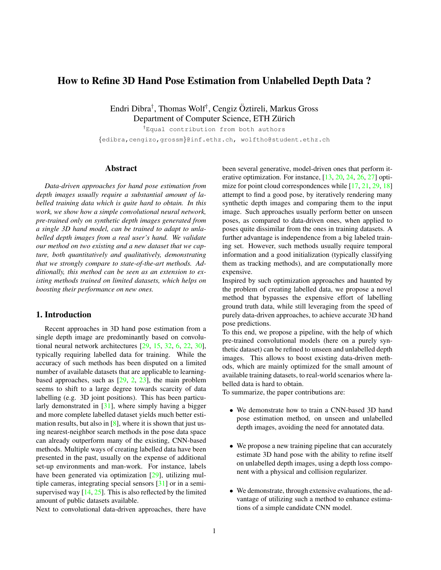# <span id="page-0-0"></span>How to Refine 3D Hand Pose Estimation from Unlabelled Depth Data ?

Endri Dibra† , Thomas Wolf† , Cengiz Oztireli, Markus Gross ¨ Department of Computer Science, ETH Zürich

†Equal contribution from both authors {edibra,cengizo,grossm}@inf.ethz.ch, wolftho@student.ethz.ch

# Abstract

*Data-driven approaches for hand pose estimation from depth images usually require a substantial amount of labelled training data which is quite hard to obtain. In this work, we show how a simple convolutional neural network, pre-trained only on synthetic depth images generated from a single 3D hand model, can be trained to adapt to unlabelled depth images from a real user's hand. We validate our method on two existing and a new dataset that we capture, both quantitatively and qualitatively, demonstrating that we strongly compare to state-of-the-art methods. Additionally, this method can be seen as an extension to existing methods trained on limited datasets, which helps on boosting their performance on new ones.*

# 1. Introduction

Recent approaches in 3D hand pose estimation from a single depth image are predominantly based on convolutional neural network architectures [\[29,](#page-9-0) [15,](#page-8-0) [32,](#page-9-1) [6,](#page-8-1) [22,](#page-8-2) [30\]](#page-9-2), typically requiring labelled data for training. While the accuracy of such methods has been disputed on a limited number of available datasets that are applicable to learningbased approaches, such as  $[29, 2, 23]$  $[29, 2, 23]$  $[29, 2, 23]$  $[29, 2, 23]$  $[29, 2, 23]$ , the main problem seems to shift to a large degree towards scarcity of data labelling (e.g. 3D joint positions). This has been particularly demonstrated in [\[31\]](#page-9-3), where simply having a bigger and more complete labelled dataset yields much better estimation results, but also in  $[8]$ , where it is shown that just using nearest-neighbor search methods in the pose data space can already outperform many of the existing, CNN-based methods. Multiple ways of creating labelled data have been presented in the past, usually on the expense of additional set-up environments and man-work. For instance, labels have been generated via optimization [\[29\]](#page-9-0), utilizing multiple cameras, integrating special sensors [\[31\]](#page-9-3) or in a semisupervised way  $[14, 25]$  $[14, 25]$  $[14, 25]$ . This is also reflected by the limited amount of public datasets available.

Next to convolutional data-driven approaches, there have

been several generative, model-driven ones that perform iterative optimization. For instance, [\[13,](#page-8-8) [20,](#page-8-9) [24,](#page-8-10) [26,](#page-8-11) [27\]](#page-8-12) opti-mize for point cloud correspondences while [\[17,](#page-8-13) [21,](#page-8-14) [29,](#page-9-0) [18\]](#page-8-15) attempt to find a good pose, by iteratively rendering many synthetic depth images and comparing them to the input image. Such approaches usually perform better on unseen poses, as compared to data-driven ones, when applied to poses quite dissimilar from the ones in training datasets. A further advantage is independence from a big labeled training set. However, such methods usually require temporal information and a good initialization (typically classifying them as tracking methods), and are computationally more expensive.

Inspired by such optimization approaches and haunted by the problem of creating labelled data, we propose a novel method that bypasses the expensive effort of labelling ground truth data, while still leveraging from the speed of purely data-driven approaches, to achieve accurate 3D hand pose predictions.

To this end, we propose a pipeline, with the help of which pre-trained convolutional models (here on a purely synthetic dataset) can be refined to unseen and unlabelled depth images. This allows to boost existing data-driven methods, which are mainly optimized for the small amount of available training datasets, to real-world scenarios where labelled data is hard to obtain.

To summarize, the paper contributions are:

- We demonstrate how to train a CNN-based 3D hand pose estimation method, on unseen and unlabelled depth images, avoiding the need for annotated data.
- We propose a new training pipeline that can accurately estimate 3D hand pose with the ability to refine itself on unlabelled depth images, using a depth loss component with a physical and collision regularizer.
- We demonstrate, through extensive evaluations, the advantage of utilizing such a method to enhance estimations of a simple candidate CNN model.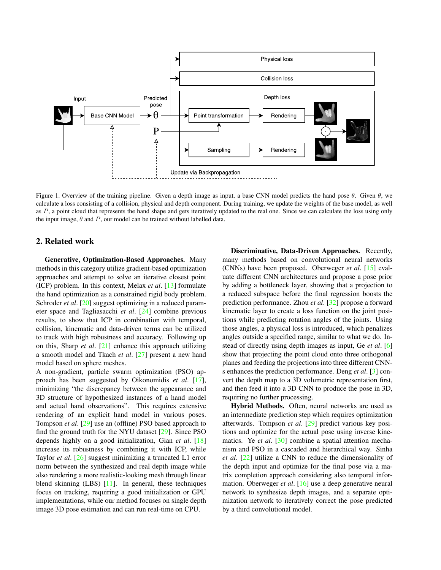<span id="page-1-1"></span>

<span id="page-1-0"></span>Figure 1. Overview of the training pipeline. Given a depth image as input, a base CNN model predicts the hand pose  $\theta$ . Given  $\theta$ , we calculate a loss consisting of a collision, physical and depth component. During training, we update the weights of the base model, as well as P, a point cloud that represents the hand shape and gets iteratively updated to the real one. Since we can calculate the loss using only the input image,  $\theta$  and  $P$ , our model can be trained without labelled data.

# 2. Related work

Generative, Optimization-Based Approaches. Many methods in this category utilize gradient-based optimization approaches and attempt to solve an iterative closest point (ICP) problem. In this context, Melax *et al*. [\[13\]](#page-8-8) formulate the hand optimization as a constrained rigid body problem. Schroder *et al.* [\[20\]](#page-8-9) suggest optimizing in a reduced parameter space and Tagliasacchi *et al*. [\[24\]](#page-8-10) combine previous results, to show that ICP in combination with temporal, collision, kinematic and data-driven terms can be utilized to track with high robustness and accuracy. Following up on this, Sharp *et al*. [\[21\]](#page-8-14) enhance this approach utilizing a smooth model and Tkach *et al*. [\[27\]](#page-8-12) present a new hand model based on sphere meshes.

A non-gradient, particle swarm optimization (PSO) approach has been suggested by Oikonomidis *et al*. [\[17\]](#page-8-13), minimizing "the discrepancy between the appearance and 3D structure of hypothesized instances of a hand model and actual hand observations". This requires extensive rendering of an explicit hand model in various poses. Tompson *et al*. [\[29\]](#page-9-0) use an (offline) PSO based approach to find the ground truth for the NYU dataset [\[29\]](#page-9-0). Since PSO depends highly on a good initialization, Gian *et al*. [\[18\]](#page-8-15) increase its robustness by combining it with ICP, while Taylor *et al*. [\[26\]](#page-8-11) suggest minimizing a truncated L1 error norm between the synthesized and real depth image while also rendering a more realistic-looking mesh through linear blend skinning (LBS) [\[11\]](#page-8-16). In general, these techniques focus on tracking, requiring a good initialization or GPU implementations, while our method focuses on single depth image 3D pose estimation and can run real-time on CPU.

Discriminative, Data-Driven Approaches. Recently, many methods based on convolutional neural networks (CNNs) have been proposed. Oberweger *et al*. [\[15\]](#page-8-0) evaluate different CNN architectures and propose a pose prior by adding a bottleneck layer, showing that a projection to a reduced subspace before the final regression boosts the prediction performance. Zhou *et al*. [\[32\]](#page-9-1) propose a forward kinematic layer to create a loss function on the joint positions while predicting rotation angles of the joints. Using those angles, a physical loss is introduced, which penalizes angles outside a specified range, similar to what we do. Instead of directly using depth images as input, Ge *et al*. [\[6\]](#page-8-1) show that projecting the point cloud onto three orthogonal planes and feeding the projections into three different CNNs enhances the prediction performance. Deng *et al*. [\[3\]](#page-8-17) convert the depth map to a 3D volumetric representation first, and then feed it into a 3D CNN to produce the pose in 3D, requiring no further processing.

Hybrid Methods. Often, neural networks are used as an intermediate prediction step which requires optimization afterwards. Tompson *et al*. [\[29\]](#page-9-0) predict various key positions and optimize for the actual pose using inverse kinematics. Ye *et al*. [\[30\]](#page-9-2) combine a spatial attention mechanism and PSO in a cascaded and hierarchical way. Sinha *et al*. [\[22\]](#page-8-2) utilize a CNN to reduce the dimensionality of the depth input and optimize for the final pose via a matrix completion approach considering also temporal information. Oberweger *et al*. [\[16\]](#page-8-18) use a deep generative neural network to synthesize depth images, and a separate optimization network to iteratively correct the pose predicted by a third convolutional model.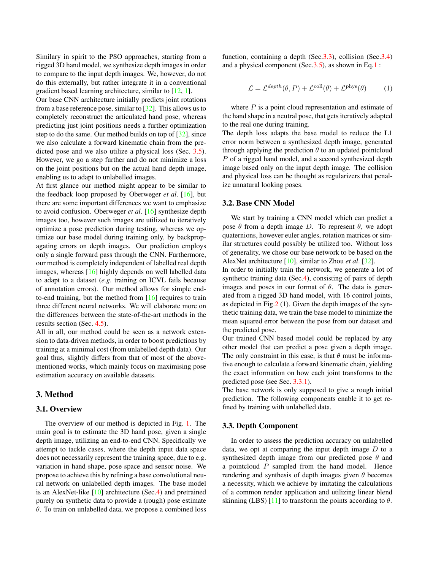<span id="page-2-2"></span>Similary in spirit to the PSO approaches, starting from a rigged 3D hand model, we synthesize depth images in order to compare to the input depth images. We, however, do not do this externally, but rather integrate it in a conventional gradient based learning architecture, similar to [\[12,](#page-8-19) [1\]](#page-8-20).

Our base CNN architecture initially predicts joint rotations from a base reference pose, similar to [\[32\]](#page-9-1). This allows us to completely reconstruct the articulated hand pose, whereas predicting just joint positions needs a further optimization step to do the same. Our method builds on top of [\[32\]](#page-9-1), since we also calculate a forward kinematic chain from the predicted pose and we also utilize a physical loss (Sec. [3.5\)](#page-4-0). However, we go a step further and do not minimize a loss on the joint positions but on the actual hand depth image, enabling us to adapt to unlabelled images.

At first glance our method might appear to be similar to the feedback loop proposed by Oberweger *et al*. [\[16\]](#page-8-18), but there are some important differences we want to emphasize to avoid confusion. Oberweger *et al*. [\[16\]](#page-8-18) synthesize depth images too, however such images are utilized to iteratively optimize a pose prediction during testing, whereas we optimize our base model during training only, by backpropagating errors on depth images. Our prediction employs only a single forward pass through the CNN. Furthermore, our method is completely independent of labelled real depth images, whereas [\[16\]](#page-8-18) highly depends on well labelled data to adapt to a dataset (*e.g*. training on ICVL fails because of annotation errors). Our method allows for simple endto-end training, but the method from [\[16\]](#page-8-18) requires to train three different neural networks. We will elaborate more on the differences between the state-of-the-art methods in the results section (Sec. [4.5\)](#page-6-0).

All in all, our method could be seen as a network extension to data-driven methods, in order to boost predictions by training at a minimal cost (from unlabelled depth data). Our goal thus, slightly differs from that of most of the abovementioned works, which mainly focus on maximising pose estimation accuracy on available datasets.

# 3. Method

#### 3.1. Overview

The overview of our method is depicted in Fig. [1.](#page-1-0) The main goal is to estimate the 3D hand pose, given a single depth image, utilizing an end-to-end CNN. Specifically we attempt to tackle cases, where the depth input data space does not necessarily represent the training space, due to e.g. variation in hand shape, pose space and sensor noise. We propose to achieve this by refining a base convolutional neural network on unlabelled depth images. The base model is an AlexNet-like [\[10\]](#page-8-21) architecture (Sec[.4\)](#page-4-1) and pretrained purely on synthetic data to provide a (rough) pose estimate  $\theta$ . To train on unlabelled data, we propose a combined loss function, containing a depth (Sec[.3.3\)](#page-2-0), collision (Sec[.3.4\)](#page-3-0) and a physical component (Sec[.3.5\)](#page-4-0), as shown in Eq[.1](#page-2-1) :

<span id="page-2-1"></span>
$$
\mathcal{L} = \mathcal{L}^{depth}(\theta, P) + \mathcal{L}^{\text{coll}}(\theta) + \mathcal{L}^{\text{phys}}(\theta)
$$
 (1)

where  $P$  is a point cloud representation and estimate of the hand shape in a neutral pose, that gets iteratively adapted to the real one during training.

The depth loss adapts the base model to reduce the L1 error norm between a synthesized depth image, generated through applying the prediction  $\theta$  to an updated pointcloud P of a rigged hand model, and a second synthesized depth image based only on the input depth image. The collision and physical loss can be thought as regularizers that penalize unnatural looking poses.

#### 3.2. Base CNN Model

We start by training a CNN model which can predict a pose  $\theta$  from a depth image D. To represent  $\theta$ , we adopt quaternions, however euler angles, rotation matrices or similar structures could possibly be utilized too. Without loss of generality, we chose our base network to be based on the AlexNet architecture [\[10\]](#page-8-21), similar to Zhou *et al*. [\[32\]](#page-9-1).

In order to initially train the network, we generate a lot of synthetic training data (Sec[.4\)](#page-4-1), consisting of pairs of depth images and poses in our format of  $\theta$ . The data is generated from a rigged 3D hand model, with 16 control joints, as depicted in Fig[.2](#page-3-1) (1). Given the depth images of the synthetic training data, we train the base model to minimize the mean squared error between the pose from our dataset and the predicted pose.

Our trained CNN based model could be replaced by any other model that can predict a pose given a depth image. The only constraint in this case, is that  $\theta$  must be informative enough to calculate a forward kinematic chain, yielding the exact information on how each joint transforms to the predicted pose (see Sec. [3.3.1\)](#page-3-2).

The base network is only supposed to give a rough initial prediction. The following components enable it to get refined by training with unlabelled data.

#### <span id="page-2-0"></span>3.3. Depth Component

In order to assess the prediction accuracy on unlabelled data, we opt at comparing the input depth image  $D$  to a synthesized depth image from our predicted pose  $\theta$  and a pointcloud  $P$  sampled from the hand model. Hence rendering and synthesis of depth images given  $\theta$  becomes a necessity, which we achieve by imitating the calculations of a common render application and utilizing linear blend skinning (LBS) [\[11\]](#page-8-16) to transform the points according to  $\theta$ .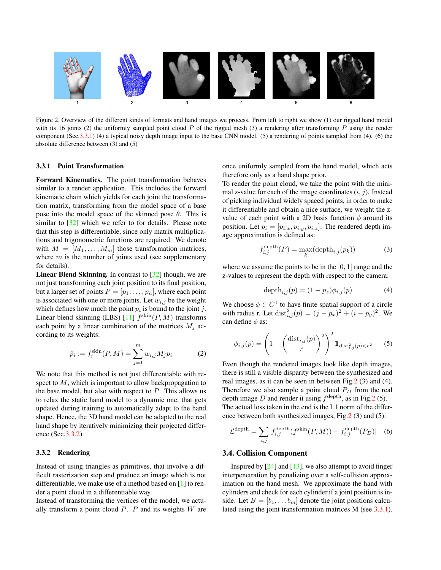<span id="page-3-4"></span>

<span id="page-3-1"></span>Figure 2. Overview of the different kinds of formats and hand images we process. From left to right we show (1) our rigged hand model with its 16 joints (2) the uniformly sampled point cloud  $P$  of the rigged mesh (3) a rendering after transforming  $P$  using the render component (Sec[.3.3.1\)](#page-3-2) (4) a typical noisy depth image input to the base CNN model. (5) a rendering of points sampled from (4). (6) the absolute difference between (3) and (5)

#### <span id="page-3-2"></span>3.3.1 Point Transformation

Forward Kinematics. The point transformation behaves similar to a render application. This includes the forward kinematic chain which yields for each joint the transformation matrix, transforming from the model space of a base pose into the model space of the skinned pose  $\theta$ . This is similar to [\[32\]](#page-9-1) which we refer to for details. Please note that this step is differentiable, since only matrix multiplications and trigonometric functions are required. We denote with  $M = [M_1, \ldots, M_m]$  those transformation matrices, where  $m$  is the number of joints used (see supplementary for details).

**Linear Blend Skinning.** In contrast to  $\left[32\right]$  though, we are not just transforming each joint position to its final position, but a larger set of points  $P = [p_1, \ldots, p_n]$ , where each point is associated with one or more joints. Let  $w_{i,j}$  be the weight which defines how much the point  $p_i$  is bound to the joint j. Linear blend skinning (LBS) [\[11\]](#page-8-16)  $f^{\text{skin}}(P, M)$  transforms each point by a linear combination of the matrices  $M_i$  according to its weights:

$$
\hat{p}_i := f_i^{\text{skin}}(P, M) = \sum_{j=1}^m w_{i,j} M_j p_i \tag{2}
$$

We note that this method is not just differentiable with respect to  $M$ , which is important to allow backpropagation to the base model, but also with respect to  $P$ . This allows us to relax the static hand model to a dynamic one, that gets updated during training to automatically adapt to the hand shape. Hence, the 3D hand model can be adapted to the real hand shape by iteratively minimizing their projected difference (Sec[.3.3.2\)](#page-3-3).

# <span id="page-3-3"></span>3.3.2 Rendering

Instead of using triangles as primitives, that involve a difficult rasterization step and produce an image which is not differentiable, we make use of a method based on [\[1\]](#page-8-20) to render a point cloud in a differentiable way.

Instead of transforming the vertices of the model, we actually transform a point cloud  $P$ .  $P$  and its weights  $W$  are once uniformly sampled from the hand model, which acts therefore only as a hand shape prior.

To render the point cloud, we take the point with the minimal z-value for each of the image coordinates  $(i, j)$ . Instead of picking individual widely spaced points, in order to make it differentiable and obtain a nice surface, we weight the zvalue of each point with a 2D basis function  $\phi$  around its position. Let  $p_i = [p_{i,x}, p_{i,y}, p_{i,z}]$ . The rendered depth image approximation is defined as:

$$
f_{i,j}^{\text{depth}}(P) = \max_{k}(\text{depth}_{i,j}(p_k))
$$
 (3)

where we assume the points to be in the  $[0, 1]$  range and the z-values to represent the depth with respect to the camera:

$$
\text{depth}_{i,j}(p) = (1 - p_z)\phi_{i,j}(p) \tag{4}
$$

We choose  $\phi \in C^1$  to have finite spatial support of a circle with radius r. Let  $dist_{i,j}^2(p) = (j - p_x)^2 + (i - p_y)^2$ . We can define  $\phi$  as:

$$
\phi_{i,j}(p) = \left(1 - \left(\frac{\text{dist}_{i,j}(p)}{r}\right)^2\right)^2 \mathbb{1}_{\text{dist}_{i,j}^2(p) < r^2} \tag{5}
$$

Even though the rendered images look like depth images, there is still a visible disparity between the synthesized and real images, as it can be seen in between Fig[.2](#page-3-1) (3) and (4). Therefore we also sample a point cloud  $P_D$  from the real depth image D and render it using  $f^{\text{depth}}$ , as in Fig[.2](#page-3-1) (5). The actual loss taken in the end is the L1 norm of the difference between both synthesized images, Fig[.2](#page-3-1) (3) and (5):

$$
\mathcal{L}^{\text{depth}} = \sum_{i,j} |f_{i,j}^{\text{depth}}(f^{\text{skin}}(P, M)) - f_{i,j}^{\text{depth}}(P_D)| \quad (6)
$$

#### <span id="page-3-0"></span>3.4. Collision Component

Inspired by  $[24]$  and  $[13]$ , we also attempt to avoid finger interpenetration by penalizing over a self-collision approximation on the hand mesh. We approximate the hand with cylinders and check for each cylinder if a joint position is inside. Let  $B = [b_1, \ldots, b_m]$  denote the joint positions calculated using the joint transformation matrices M (see [3.3.1\)](#page-3-2).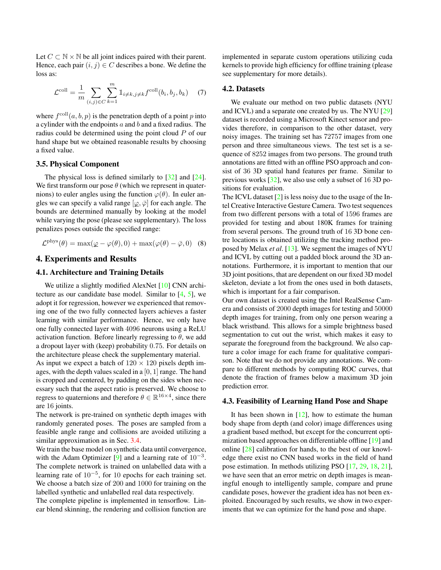<span id="page-4-2"></span>Let  $C \subset \mathbb{N} \times \mathbb{N}$  be all joint indices paired with their parent. Hence, each pair  $(i, j) \in C$  describes a bone. We define the loss as:

$$
\mathcal{L}^{\text{coll}} = \frac{1}{m} \sum_{(i,j) \in C} \sum_{k=1}^{m} \mathbb{1}_{i \neq k, j \neq k} f^{\text{coll}}(b_i, b_j, b_k) \quad (7)
$$

where  $f^{\text{coll}}(a, b, p)$  is the penetration depth of a point p into a cylinder with the endpoints  $a$  and  $b$  and a fixed radius. The radius could be determined using the point cloud P of our hand shape but we obtained reasonable results by choosing a fixed value.

#### <span id="page-4-0"></span>3.5. Physical Component

The physical loss is defined similarly to [\[32\]](#page-9-1) and [\[24\]](#page-8-10). We first transform our pose  $\theta$  (which we represent in quaternions) to euler angles using the function  $\varphi(\theta)$ . In euler angles we can specify a valid range  $[\varphi, \overline{\varphi}]$  for each angle. The bounds are determined manually by looking at the model while varying the pose (please see supplementary). The loss penalizes poses outside the specified range:

$$
\mathcal{L}^{\text{phys}}(\theta) = \max(\varphi - \varphi(\theta), 0) + \max(\varphi(\theta) - \bar{\varphi}, 0)
$$
 (8)

# <span id="page-4-1"></span>4. Experiments and Results

# 4.1. Architecture and Training Details

We utilize a slightly modified AlexNet [\[10\]](#page-8-21) CNN architecture as our candidate base model. Similar to [\[4,](#page-8-22) [5\]](#page-8-23), we adopt it for regression, however we experienced that removing one of the two fully connected layers achieves a faster learning with similar performance. Hence, we only have one fully connected layer with 4096 neurons using a ReLU activation function. Before linearly regressing to  $\theta$ , we add a dropout layer with (keep) probability 0.75. For details on the architecture please check the supplementary material.

As input we expect a batch of  $120 \times 120$  pixels depth images, with the depth values scaled in a  $[0, 1]$  range. The hand is cropped and centered, by padding on the sides when necessary such that the aspect ratio is preserved. We choose to regress to quaternions and therefore  $\theta \in \mathbb{R}^{16 \times 4}$ , since there are 16 joints.

The network is pre-trained on synthetic depth images with randomly generated poses. The poses are sampled from a feasible angle range and collisions are avoided utilizing a similar approximation as in Sec. [3.4.](#page-3-0)

We train the base model on synthetic data until convergence, with the Adam Optimizer [\[9\]](#page-8-24) and a learning rate of  $10^{-3}$ . The complete network is trained on unlabelled data with a learning rate of 10<sup>-5</sup>, for 10 epochs for each training set. We choose a batch size of 200 and 1000 for training on the labelled synthetic and unlabelled real data respectively.

The complete pipeline is implemented in tensorflow. Linear blend skinning, the rendering and collision function are implemented in separate custom operations utilizing cuda kernels to provide high efficiency for offline training (please see supplementary for more details).

# 4.2. Datasets

We evaluate our method on two public datasets (NYU and ICVL) and a separate one created by us. The NYU [\[29\]](#page-9-0) dataset is recorded using a Microsoft Kinect sensor and provides therefore, in comparison to the other dataset, very noisy images. The training set has 72757 images from one person and three simultaneous views. The test set is a sequence of 8252 images from two persons. The ground truth annotations are fitted with an offline PSO approach and consist of 36 3D spatial hand features per frame. Similar to previous works [\[32\]](#page-9-1), we also use only a subset of 16 3D positions for evaluation.

The ICVL dataset [\[2\]](#page-8-3) is less noisy due to the usage of the Intel Creative Interactive Gesture Camera. Two test sequences from two different persons with a total of 1596 frames are provided for testing and about 180K frames for training from several persons. The ground truth of 16 3D bone centre locations is obtained utilizing the tracking method proposed by Melax *et al*. [\[13\]](#page-8-8). We segment the images of NYU and ICVL by cutting out a padded block around the 3D annotations. Furthermore, it is important to mention that our 3D joint positions, that are dependent on our fixed 3D model skeleton, deviate a lot from the ones used in both datasets, which is important for a fair comparison.

Our own dataset is created using the Intel RealSense Camera and consists of 2000 depth images for testing and 50000 depth images for training, from only one person wearing a black wristband. This allows for a simple brightness based segmentation to cut out the wrist, which makes it easy to separate the foreground from the background. We also capture a color image for each frame for qualitative comparison. Note that we do not provide any annotations. We compare to different methods by computing ROC curves, that denote the fraction of frames below a maximum 3D join prediction error.

# 4.3. Feasibility of Learning Hand Pose and Shape

It has been shown in  $[12]$ , how to estimate the human body shape from depth (and color) image differences using a gradient based method, but except for the concurrent optimization based approaches on differentiable offline [\[19\]](#page-8-25) and online [\[28\]](#page-8-26) calibration for hands, to the best of our knowledge there exist no CNN based works in the field of hand pose estimation. In methods utilizing PSO [\[17,](#page-8-13) [29,](#page-9-0) [18,](#page-8-15) [21\]](#page-8-14), we have seen that an error metric on depth images is meaningful enough to intelligently sample, compare and prune candidate poses, however the gradient idea has not been exploited. Encouraged by such results, we show in two experiments that we can optimize for the hand pose and shape.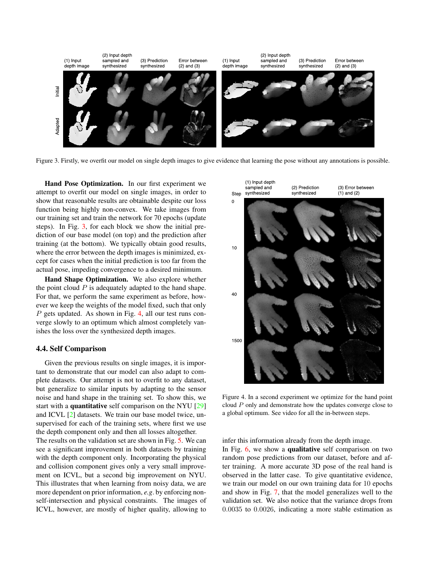<span id="page-5-2"></span>

<span id="page-5-0"></span>Figure 3. Firstly, we overfit our model on single depth images to give evidence that learning the pose without any annotations is possible.

Hand Pose Optimization. In our first experiment we attempt to overfit our model on single images, in order to show that reasonable results are obtainable despite our loss function being highly non-convex. We take images from our training set and train the network for 70 epochs (update steps). In Fig. [3,](#page-5-0) for each block we show the initial prediction of our base model (on top) and the prediction after training (at the bottom). We typically obtain good results, where the error between the depth images is minimized, except for cases when the initial prediction is too far from the actual pose, impeding convergence to a desired minimum.

Hand Shape Optimization. We also explore whether the point cloud  $P$  is adequately adapted to the hand shape. For that, we perform the same experiment as before, however we keep the weights of the model fixed, such that only P gets updated. As shown in Fig. [4,](#page-5-1) all our test runs converge slowly to an optimum which almost completely vanishes the loss over the synthesized depth images.

#### 4.4. Self Comparison

Given the previous results on single images, it is important to demonstrate that our model can also adapt to complete datasets. Our attempt is not to overfit to any dataset, but generalize to similar inputs by adapting to the sensor noise and hand shape in the training set. To show this, we start with a quantitative self comparison on the NYU [\[29\]](#page-9-0) and ICVL [\[2\]](#page-8-3) datasets. We train our base model twice, unsupervised for each of the training sets, where first we use the depth component only and then all losses altogether. The results on the validation set are shown in Fig. [5.](#page-6-1) We can see a significant improvement in both datasets by training with the depth component only. Incorporating the physical and collision component gives only a very small improvement on ICVL, but a second big improvement on NYU. This illustrates that when learning from noisy data, we are more dependent on prior information, *e.g*. by enforcing nonself-intersection and physical constraints. The images of ICVL, however, are mostly of higher quality, allowing to



<span id="page-5-1"></span>Figure 4. In a second experiment we optimize for the hand point cloud P only and demonstrate how the updates converge close to a global optimum. See video for all the in-between steps.

infer this information already from the depth image.

In Fig. [6,](#page-7-0) we show a qualitative self comparison on two random pose predictions from our dataset, before and after training. A more accurate 3D pose of the real hand is observed in the latter case. To give quantitative evidence, we train our model on our own training data for 10 epochs and show in Fig. [7,](#page-6-2) that the model generalizes well to the validation set. We also notice that the variance drops from 0.0035 to 0.0026, indicating a more stable estimation as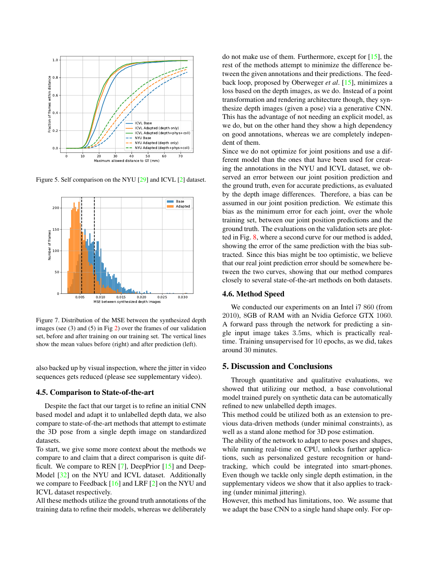<span id="page-6-3"></span>

<span id="page-6-1"></span>Figure 5. Self comparison on the NYU [\[29\]](#page-9-0) and ICVL [\[2\]](#page-8-3) dataset.



<span id="page-6-2"></span>Figure 7. Distribution of the MSE between the synthesized depth images (see (3) and (5) in Fig [2\)](#page-3-1) over the frames of our validation set, before and after training on our training set. The vertical lines show the mean values before (right) and after prediction (left).

also backed up by visual inspection, where the jitter in video sequences gets reduced (please see supplementary video).

#### <span id="page-6-0"></span>4.5. Comparison to State-of-the-art

Despite the fact that our target is to refine an initial CNN based model and adapt it to unlabelled depth data, we also compare to state-of-the-art methods that attempt to estimate the 3D pose from a single depth image on standardized datasets.

To start, we give some more context about the methods we compare to and claim that a direct comparison is quite difficult. We compare to REN [\[7\]](#page-8-27), DeepPrior [\[15\]](#page-8-0) and Deep-Model [\[32\]](#page-9-1) on the NYU and ICVL dataset. Additionally we compare to Feedback [\[16\]](#page-8-18) and LRF [\[2\]](#page-8-3) on the NYU and ICVL dataset respectively.

All these methods utilize the ground truth annotations of the training data to refine their models, whereas we deliberately do not make use of them. Furthermore, except for [\[15\]](#page-8-0), the rest of the methods attempt to minimize the difference between the given annotations and their predictions. The feedback loop, proposed by Oberweger *et al*. [\[15\]](#page-8-0), minimizes a loss based on the depth images, as we do. Instead of a point transformation and rendering architecture though, they synthesize depth images (given a pose) via a generative CNN. This has the advantage of not needing an explicit model, as we do, but on the other hand they show a high dependency on good annotations, whereas we are completely independent of them.

Since we do not optimize for joint positions and use a different model than the ones that have been used for creating the annotations in the NYU and ICVL dataset, we observed an error between our joint position prediction and the ground truth, even for accurate predictions, as evaluated by the depth image differences. Therefore, a bias can be assumed in our joint position prediction. We estimate this bias as the minimum error for each joint, over the whole training set, between our joint position predictions and the ground truth. The evaluations on the validation sets are plotted in Fig. [8,](#page-7-1) where a second curve for our method is added, showing the error of the same prediction with the bias subtracted. Since this bias might be too optimistic, we believe that our real joint prediction error should be somewhere between the two curves, showing that our method compares closely to several state-of-the-art methods on both datasets.

#### 4.6. Method Speed

We conducted our experiments on an Intel i7 860 (from 2010), 8GB of RAM with an Nvidia Geforce GTX 1060. A forward pass through the network for predicting a single input image takes 3.5ms, which is practically realtime. Training unsupervised for 10 epochs, as we did, takes around 30 minutes.

# 5. Discussion and Conclusions

Through quantitative and qualitative evaluations, we showed that utilizing our method, a base convolutional model trained purely on synthetic data can be automatically refined to new unlabelled depth images.

This method could be utilized both as an extension to previous data-driven methods (under minimal constraints), as well as a stand alone method for 3D pose estimation.

The ability of the network to adapt to new poses and shapes, while running real-time on CPU, unlocks further applications, such as personalized gesture recognition or handtracking, which could be integrated into smart-phones. Even though we tackle only single depth estimation, in the supplementary videos we show that it also applies to tracking (under minimal jittering).

However, this method has limitations, too. We assume that we adapt the base CNN to a single hand shape only. For op-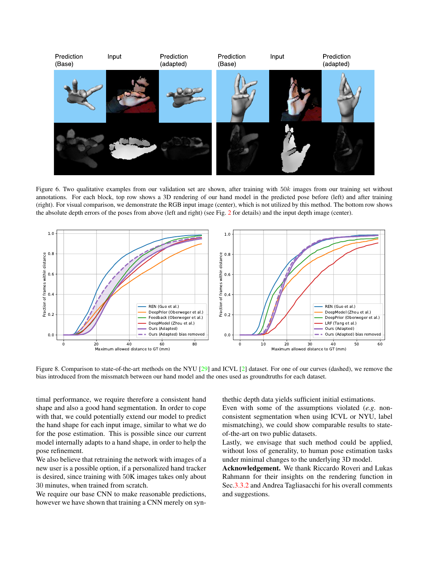<span id="page-7-2"></span>

Figure 6. Two qualitative examples from our validation set are shown, after training with 50k images from our training set without annotations. For each block, top row shows a 3D rendering of our hand model in the predicted pose before (left) and after training (right). For visual comparison, we demonstrate the RGB input image (center), which is not utilized by this method. The bottom row shows the absolute depth errors of the poses from above (left and right) (see Fig. [2](#page-3-1) for details) and the input depth image (center).

<span id="page-7-0"></span>

<span id="page-7-1"></span>Figure 8. Comparison to state-of-the-art methods on the NYU [\[29\]](#page-9-0) and ICVL [\[2\]](#page-8-3) dataset. For one of our curves (dashed), we remove the bias introduced from the missmatch between our hand model and the ones used as groundtruths for each dataset.

timal performance, we require therefore a consistent hand shape and also a good hand segmentation. In order to cope with that, we could potentially extend our model to predict the hand shape for each input image, similar to what we do for the pose estimation. This is possible since our current model internally adapts to a hand shape, in order to help the pose refinement.

We also believe that retraining the network with images of a new user is a possible option, if a personalized hand tracker is desired, since training with 50K images takes only about 30 minutes, when trained from scratch.

We require our base CNN to make reasonable predictions, however we have shown that training a CNN merely on synthethic depth data yields sufficient initial estimations.

Even with some of the assumptions violated (*e.g*. nonconsistent segmentation when using ICVL or NYU, label mismatching), we could show comparable results to stateof-the-art on two public datasets.

Lastly, we envisage that such method could be applied, without loss of generality, to human pose estimation tasks under minimal changes to the underlying 3D model.

Acknowledgement. We thank Riccardo Roveri and Lukas Rahmann for their insights on the rendering function in Sec[.3.3.2](#page-3-3) and Andrea Tagliasacchi for his overall comments and suggestions.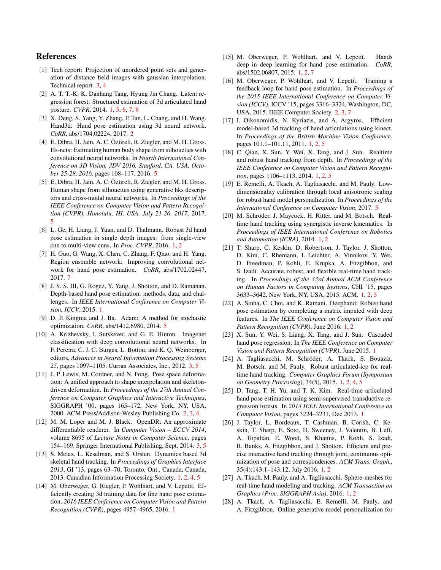# References

- <span id="page-8-20"></span>[1] Tech report: Projection of unordered point sets and generation of distance field images with gaussian interpolation. Technical report. [3,](#page-2-2) [4](#page-3-4)
- <span id="page-8-3"></span>[2] A. T. T.-K. K. Danhang Tang, Hyung Jin Chang. Latent regression forest: Structured estimation of 3d articulated hand posture. *CVPR*, 2014. [1,](#page-0-0) [5,](#page-4-2) [6,](#page-5-2) [7,](#page-6-3) [8](#page-7-2)
- <span id="page-8-17"></span>[3] X. Deng, S. Yang, Y. Zhang, P. Tan, L. Chang, and H. Wang. Hand3d: Hand pose estimation using 3d neural network. *CoRR*, abs/1704.02224, 2017. [2](#page-1-1)
- <span id="page-8-22"></span>[4] E. Dibra, H. Jain, A. C. Öztireli, R. Ziegler, and M. H. Gross. Hs-nets: Estimating human body shape from silhouettes with convolutional neural networks. In *Fourth International Conference on 3D Vision, 3DV 2016, Stanford, CA, USA, October 25-28, 2016*, pages 108–117, 2016. [5](#page-4-2)
- <span id="page-8-23"></span>[5] E. Dibra, H. Jain, A. C. Öztireli, R. Ziegler, and M. H. Gross. Human shape from silhouettes using generative hks descriptors and cross-modal neural networks. In *Proceedings of the IEEE Conference on Computer Vision and Pattern Recognition (CVPR), Honolulu, HI, USA, July 21-26, 2017*, 2017. [5](#page-4-2)
- <span id="page-8-1"></span>[6] L. Ge, H. Liang, J. Yuan, and D. Thalmann. Robust 3d hand pose estimation in single depth images: from single-view cnn to multi-view cnns. In *Proc. CVPR*, 2016. [1,](#page-0-0) [2](#page-1-1)
- <span id="page-8-27"></span>[7] H. Guo, G. Wang, X. Chen, C. Zhang, F. Qiao, and H. Yang. Region ensemble network: Improving convolutional network for hand pose estimation. *CoRR*, abs/1702.02447, 2017. [7](#page-6-3)
- <span id="page-8-5"></span>[8] J. S. S. III, G. Rogez, Y. Yang, J. Shotton, and D. Ramanan. Depth-based hand pose estimation: methods, data, and challenges. In *IEEE International Conference on Computer Vision, ICCV*, 2015. [1](#page-0-0)
- <span id="page-8-24"></span>[9] D. P. Kingma and J. Ba. Adam: A method for stochastic optimization. *CoRR*, abs/1412.6980, 2014. [5](#page-4-2)
- <span id="page-8-21"></span>[10] A. Krizhevsky, I. Sutskever, and G. E. Hinton. Imagenet classification with deep convolutional neural networks. In F. Pereira, C. J. C. Burges, L. Bottou, and K. Q. Weinberger, editors, *Advances in Neural Information Processing Systems 25*, pages 1097–1105. Curran Associates, Inc., 2012. [3,](#page-2-2) [5](#page-4-2)
- <span id="page-8-16"></span>[11] J. P. Lewis, M. Cordner, and N. Fong. Pose space deformation: A unified approach to shape interpolation and skeletondriven deformation. In *Proceedings of the 27th Annual Conference on Computer Graphics and Interactive Techniques*, SIGGRAPH '00, pages 165–172, New York, NY, USA, 2000. ACM Press/Addison-Wesley Publishing Co. [2,](#page-1-1) [3,](#page-2-2) [4](#page-3-4)
- <span id="page-8-19"></span>[12] M. M. Loper and M. J. Black. OpenDR: An approximate differentiable renderer. In *Computer Vision – ECCV 2014*, volume 8695 of *Lecture Notes in Computer Science*, pages 154–169. Springer International Publishing, Sept. 2014. [3,](#page-2-2) [5](#page-4-2)
- <span id="page-8-8"></span>[13] S. Melax, L. Keselman, and S. Orsten. Dynamics based 3d skeletal hand tracking. In *Proceedings of Graphics Interface 2013*, GI '13, pages 63–70, Toronto, Ont., Canada, Canada, 2013. Canadian Information Processing Society. [1,](#page-0-0) [2,](#page-1-1) [4,](#page-3-4) [5](#page-4-2)
- <span id="page-8-6"></span>[14] M. Oberweger, G. Riegler, P. Wohlhart, and V. Lepetit. Efficiently creating 3d training data for fine hand pose estimation. *2016 IEEE Conference on Computer Vision and Pattern Recognition (CVPR)*, pages 4957–4965, 2016. [1](#page-0-0)
- <span id="page-8-0"></span>[15] M. Oberweger, P. Wohlhart, and V. Lepetit. Hands deep in deep learning for hand pose estimation. *CoRR*, abs/1502.06807, 2015. [1,](#page-0-0) [2,](#page-1-1) [7](#page-6-3)
- <span id="page-8-18"></span>[16] M. Oberweger, P. Wohlhart, and V. Lepetit. Training a feedback loop for hand pose estimation. In *Proceedings of the 2015 IEEE International Conference on Computer Vision (ICCV)*, ICCV '15, pages 3316–3324, Washington, DC, USA, 2015. IEEE Computer Society. [2,](#page-1-1) [3,](#page-2-2) [7](#page-6-3)
- <span id="page-8-13"></span>[17] I. Oikonomidis, N. Kyriazis, and A. Argyros. Efficient model-based 3d tracking of hand articulations using kinect. In *Proceedings of the British Machine Vision Conference*, pages 101.1–101.11, 2011. [1,](#page-0-0) [2,](#page-1-1) [5](#page-4-2)
- <span id="page-8-15"></span>[18] C. Qian, X. Sun, Y. Wei, X. Tang, and J. Sun. Realtime and robust hand tracking from depth. In *Proceedings of the IEEE Conference on Computer Vision and Pattern Recognition*, pages 1106–1113, 2014. [1,](#page-0-0) [2,](#page-1-1) [5](#page-4-2)
- <span id="page-8-25"></span>[19] E. Remelli, A. Tkach, A. Tagliasacchi, and M. Pauly. Lowdimensionality calibration through local anisotropic scaling for robust hand model personalization. In *Proceedings of the International Conference on Computer Vision*, 2017. [5](#page-4-2)
- <span id="page-8-9"></span>[20] M. Schröder, J. Maycock, H. Ritter, and M. Botsch. Realtime hand tracking using synergistic inverse kinematics. In *Proceedings of IEEE International Conference on Robotics and Automation (ICRA)*, 2014. [1,](#page-0-0) [2](#page-1-1)
- <span id="page-8-14"></span>[21] T. Sharp, C. Keskin, D. Robertson, J. Taylor, J. Shotton, D. Kim, C. Rhemann, I. Leichter, A. Vinnikov, Y. Wei, D. Freedman, P. Kohli, E. Krupka, A. Fitzgibbon, and S. Izadi. Accurate, robust, and flexible real-time hand tracking. In *Proceedings of the 33rd Annual ACM Conference on Human Factors in Computing Systems*, CHI '15, pages 3633–3642, New York, NY, USA, 2015. ACM. [1,](#page-0-0) [2,](#page-1-1) [5](#page-4-2)
- <span id="page-8-2"></span>[22] A. Sinha, C. Choi, and K. Ramani. Deephand: Robust hand pose estimation by completing a matrix imputed with deep features. In *The IEEE Conference on Computer Vision and Pattern Recognition (CVPR)*, June 2016. [1,](#page-0-0) [2](#page-1-1)
- <span id="page-8-4"></span>[23] X. Sun, Y. Wei, S. Liang, X. Tang, and J. Sun. Cascaded hand pose regression. In *The IEEE Conference on Computer Vision and Pattern Recognition (CVPR)*, June 2015. [1](#page-0-0)
- <span id="page-8-10"></span>[24] A. Tagliasacchi, M. Schröder, A. Tkach, S. Bouaziz, M. Botsch, and M. Pauly. Robust articulated-icp for realtime hand tracking. *Computer Graphics Forum (Symposium on Geometry Processing)*, 34(5), 2015. [1,](#page-0-0) [2,](#page-1-1) [4,](#page-3-4) [5](#page-4-2)
- <span id="page-8-7"></span>[25] D. Tang, T. H. Yu, and T. K. Kim. Real-time articulated hand pose estimation using semi-supervised transductive regression forests. In *2013 IEEE International Conference on Computer Vision*, pages 3224–3231, Dec 2013. [1](#page-0-0)
- <span id="page-8-11"></span>[26] J. Taylor, L. Bordeaux, T. Cashman, B. Corish, C. Keskin, T. Sharp, E. Soto, D. Sweeney, J. Valentin, B. Luff, A. Topalian, E. Wood, S. Khamis, P. Kohli, S. Izadi, R. Banks, A. Fitzgibbon, and J. Shotton. Efficient and precise interactive hand tracking through joint, continuous optimization of pose and correspondences. *ACM Trans. Graph.*, 35(4):143:1–143:12, July 2016. [1,](#page-0-0) [2](#page-1-1)
- <span id="page-8-12"></span>[27] A. Tkach, M. Pauly, and A. Tagliasacchi. Sphere-meshes for real-time hand modeling and tracking. *ACM Transaction on Graphics (Proc. SIGGRAPH Asia)*, 2016. [1,](#page-0-0) [2](#page-1-1)
- <span id="page-8-26"></span>[28] A. Tkach, A. Tagliasacchi, E. Remelli, M. Pauly, and A. Fitzgibbon. Online generative model personalization for